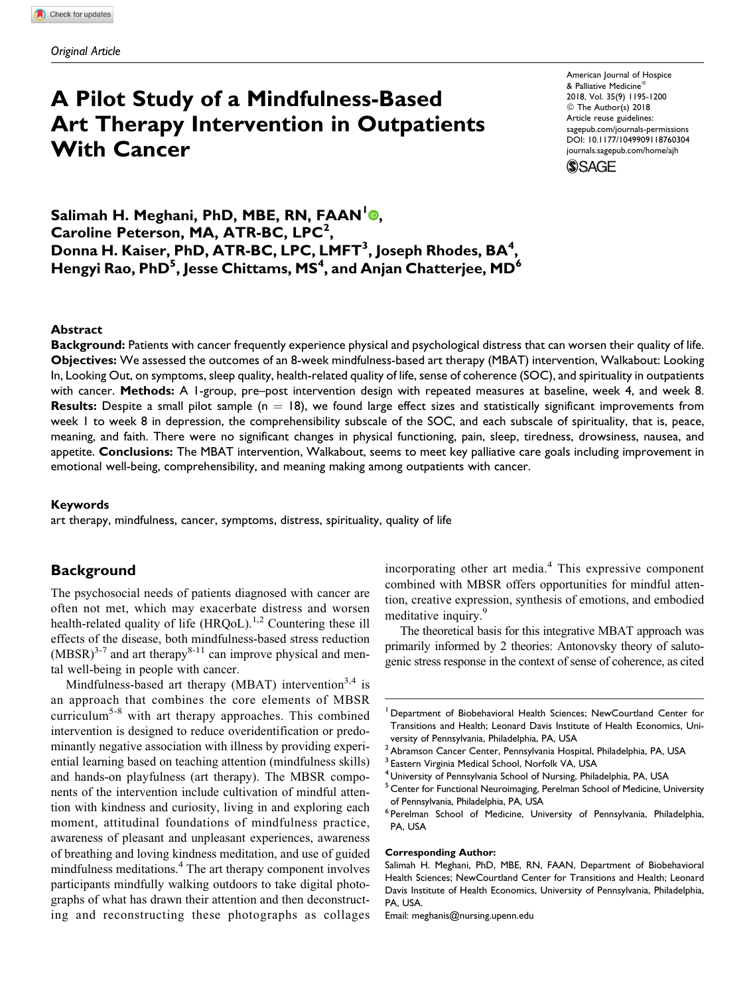# A Pilot Study of a Mindfulness-Based Art Therapy Intervention in Outpatients With Cancer

American Journal of Hospice & Palliative Medicine 2018, Vol. 35(9) 1195-1200 © The Author(s) 2018 Article reuse guidelines: [sagepub.com/journals-permissions](https://sagepub.com/journals-permissions) [DOI: 10.1177/1049909118760304](https://doi.org/10.1177/1049909118760304) [journals.sagepub.com/home/ajh](http://journals.sagepub.com/home/ajh)

**SSAGE** 

Salimah H. Meghani, PhD, MBE, RN, FAAN<sup>1</sup>®, Caroline Peterson, MA, ATR-BC, LPC<sup>2</sup>, Donna H. Kaiser, PhD, ATR-BC, LPC, LMFT $^3$ , Joseph Rhodes, BA $^4\!$ , Hengyi Rao, PhD $^5$ , Jesse Chittams, MS $^4$ , and Anjan Chatterjee, MD $^6$ 

#### Abstract

Background: Patients with cancer frequently experience physical and psychological distress that can worsen their quality of life. Objectives: We assessed the outcomes of an 8-week mindfulness-based art therapy (MBAT) intervention, Walkabout: Looking In, Looking Out, on symptoms, sleep quality, health-related quality of life, sense of coherence (SOC), and spirituality in outpatients with cancer. Methods: A 1-group, pre–post intervention design with repeated measures at baseline, week 4, and week 8. **Results:** Despite a small pilot sample ( $n = 18$ ), we found large effect sizes and statistically significant improvements from week 1 to week 8 in depression, the comprehensibility subscale of the SOC, and each subscale of spirituality, that is, peace, meaning, and faith. There were no significant changes in physical functioning, pain, sleep, tiredness, drowsiness, nausea, and appetite. Conclusions: The MBAT intervention, Walkabout, seems to meet key palliative care goals including improvement in emotional well-being, comprehensibility, and meaning making among outpatients with cancer.

#### Keywords

art therapy, mindfulness, cancer, symptoms, distress, spirituality, quality of life

#### **Background**

The psychosocial needs of patients diagnosed with cancer are often not met, which may exacerbate distress and worsen health-related quality of life  $(HRQoL)$ .<sup>1,2</sup> Countering these ill effects of the disease, both mindfulness-based stress reduction  $(MBSR)^{3-7}$  and art therapy<sup>8-11</sup> can improve physical and mental well-being in people with cancer.

Mindfulness-based art therapy (MBAT) intervention<sup>3,4</sup> is an approach that combines the core elements of MBSR curriculum5-8 with art therapy approaches. This combined intervention is designed to reduce overidentification or predominantly negative association with illness by providing experiential learning based on teaching attention (mindfulness skills) and hands-on playfulness (art therapy). The MBSR components of the intervention include cultivation of mindful attention with kindness and curiosity, living in and exploring each moment, attitudinal foundations of mindfulness practice, awareness of pleasant and unpleasant experiences, awareness of breathing and loving kindness meditation, and use of guided mindfulness meditations.<sup>4</sup> The art therapy component involves participants mindfully walking outdoors to take digital photographs of what has drawn their attention and then deconstructing and reconstructing these photographs as collages incorporating other art media.<sup>4</sup> This expressive component combined with MBSR offers opportunities for mindful attention, creative expression, synthesis of emotions, and embodied meditative inquiry.<sup>9</sup>

The theoretical basis for this integrative MBAT approach was primarily informed by 2 theories: Antonovsky theory of salutogenic stress response in the context of sense of coherence, as cited

#### Corresponding Author:

Salimah H. Meghani, PhD, MBE, RN, FAAN, Department of Biobehavioral Health Sciences; NewCourtland Center for Transitions and Health; Leonard Davis Institute of Health Economics, University of Pennsylvania, Philadelphia, PA, USA.

Email: [meghanis@nursing.upenn.edu](mailto:meghanis@nursing.upenn.edu)

<sup>1</sup> Department of Biobehavioral Health Sciences; NewCourtland Center for Transitions and Health; Leonard Davis Institute of Health Economics, University of Pennsylvania, Philadelphia, PA, USA

 $2$ Abramson Cancer Center, Pennsylvania Hospital, Philadelphia, PA, USA

Eastern Virginia Medical School, Norfolk VA, USA

<sup>4</sup> University of Pennsylvania School of Nursing, Philadelphia, PA, USA

<sup>5</sup> Center for Functional Neuroimaging, Perelman School of Medicine, University of Pennsylvania, Philadelphia, PA, USA

<sup>6</sup> Perelman School of Medicine, University of Pennsylvania, Philadelphia, PA, USA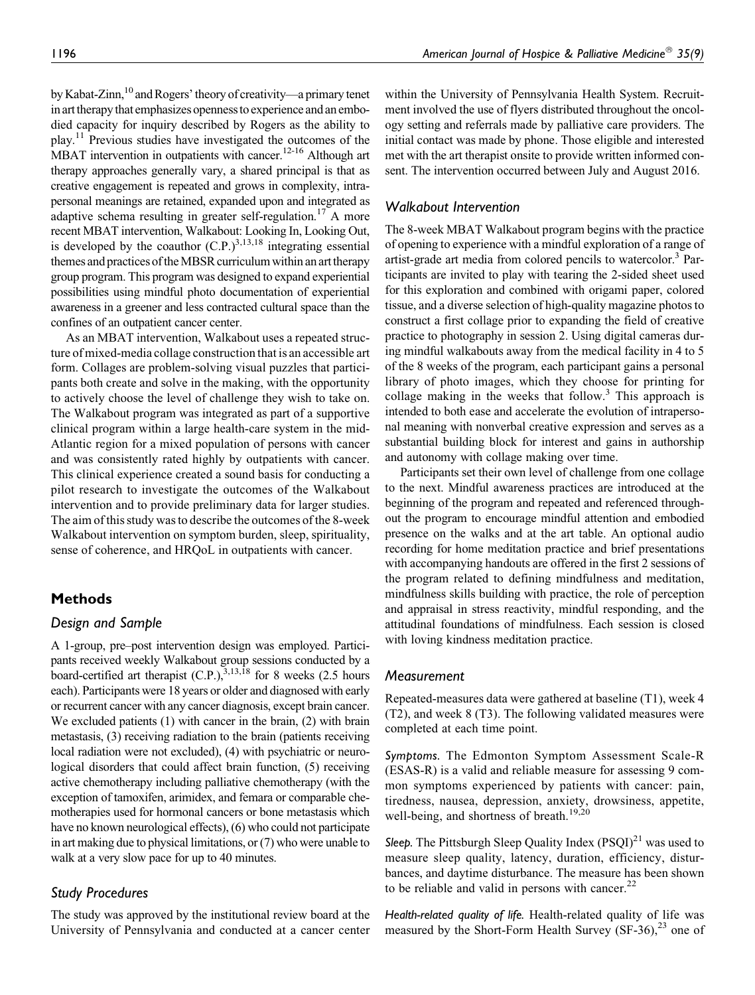by Kabat-Zinn,<sup>10</sup> and Rogers' theory of creativity—a primary tenet in art therapy that emphasizes openness to experience and an embodied capacity for inquiry described by Rogers as the ability to  $play.<sup>11</sup>$  Previous studies have investigated the outcomes of the MBAT intervention in outpatients with cancer.<sup>12-16</sup> Although art therapy approaches generally vary, a shared principal is that as creative engagement is repeated and grows in complexity, intrapersonal meanings are retained, expanded upon and integrated as adaptive schema resulting in greater self-regulation.<sup>17</sup> A more recent MBAT intervention, Walkabout: Looking In, Looking Out, is developed by the coauthor  $(C.P.)^{3,13,18}$  integrating essential themes and practices of the MBSR curriculum within an art therapy group program. This program was designed to expand experiential possibilities using mindful photo documentation of experiential awareness in a greener and less contracted cultural space than the confines of an outpatient cancer center.

As an MBAT intervention, Walkabout uses a repeated structure of mixed-media collage construction that is an accessible art form. Collages are problem-solving visual puzzles that participants both create and solve in the making, with the opportunity to actively choose the level of challenge they wish to take on. The Walkabout program was integrated as part of a supportive clinical program within a large health-care system in the mid-Atlantic region for a mixed population of persons with cancer and was consistently rated highly by outpatients with cancer. This clinical experience created a sound basis for conducting a pilot research to investigate the outcomes of the Walkabout intervention and to provide preliminary data for larger studies. The aim of this study was to describe the outcomes of the 8-week Walkabout intervention on symptom burden, sleep, spirituality, sense of coherence, and HRQoL in outpatients with cancer.

## Methods

## Design and Sample

A 1-group, pre–post intervention design was employed. Participants received weekly Walkabout group sessions conducted by a board-certified art therapist  $(C.P.)$ ,  $3,13,18$  for 8 weeks (2.5 hours each). Participants were 18 years or older and diagnosed with early or recurrent cancer with any cancer diagnosis, except brain cancer. We excluded patients (1) with cancer in the brain, (2) with brain metastasis, (3) receiving radiation to the brain (patients receiving local radiation were not excluded), (4) with psychiatric or neurological disorders that could affect brain function, (5) receiving active chemotherapy including palliative chemotherapy (with the exception of tamoxifen, arimidex, and femara or comparable chemotherapies used for hormonal cancers or bone metastasis which have no known neurological effects), (6) who could not participate in art making due to physical limitations, or (7) who were unable to walk at a very slow pace for up to 40 minutes.

## Study Procedures

The study was approved by the institutional review board at the University of Pennsylvania and conducted at a cancer center

within the University of Pennsylvania Health System. Recruitment involved the use of flyers distributed throughout the oncology setting and referrals made by palliative care providers. The initial contact was made by phone. Those eligible and interested met with the art therapist onsite to provide written informed consent. The intervention occurred between July and August 2016.

## Walkabout Intervention

The 8-week MBAT Walkabout program begins with the practice of opening to experience with a mindful exploration of a range of artist-grade art media from colored pencils to watercolor.<sup>3</sup> Participants are invited to play with tearing the 2-sided sheet used for this exploration and combined with origami paper, colored tissue, and a diverse selection of high-quality magazine photos to construct a first collage prior to expanding the field of creative practice to photography in session 2. Using digital cameras during mindful walkabouts away from the medical facility in 4 to 5 of the 8 weeks of the program, each participant gains a personal library of photo images, which they choose for printing for collage making in the weeks that follow.<sup>3</sup> This approach is intended to both ease and accelerate the evolution of intrapersonal meaning with nonverbal creative expression and serves as a substantial building block for interest and gains in authorship and autonomy with collage making over time.

Participants set their own level of challenge from one collage to the next. Mindful awareness practices are introduced at the beginning of the program and repeated and referenced throughout the program to encourage mindful attention and embodied presence on the walks and at the art table. An optional audio recording for home meditation practice and brief presentations with accompanying handouts are offered in the first 2 sessions of the program related to defining mindfulness and meditation, mindfulness skills building with practice, the role of perception and appraisal in stress reactivity, mindful responding, and the attitudinal foundations of mindfulness. Each session is closed with loving kindness meditation practice.

#### Measurement

Repeated-measures data were gathered at baseline (T1), week 4 (T2), and week 8 (T3). The following validated measures were completed at each time point.

Symptoms. The Edmonton Symptom Assessment Scale-R (ESAS-R) is a valid and reliable measure for assessing 9 common symptoms experienced by patients with cancer: pain, tiredness, nausea, depression, anxiety, drowsiness, appetite, well-being, and shortness of breath.<sup>19,20</sup>

Sleep. The Pittsburgh Sleep Quality Index  $(PSQI)^{21}$  was used to measure sleep quality, latency, duration, efficiency, disturbances, and daytime disturbance. The measure has been shown to be reliable and valid in persons with cancer. $^{22}$ 

Health-related quality of life. Health-related quality of life was measured by the Short-Form Health Survey  $(SF-36)$ ,  $23$  one of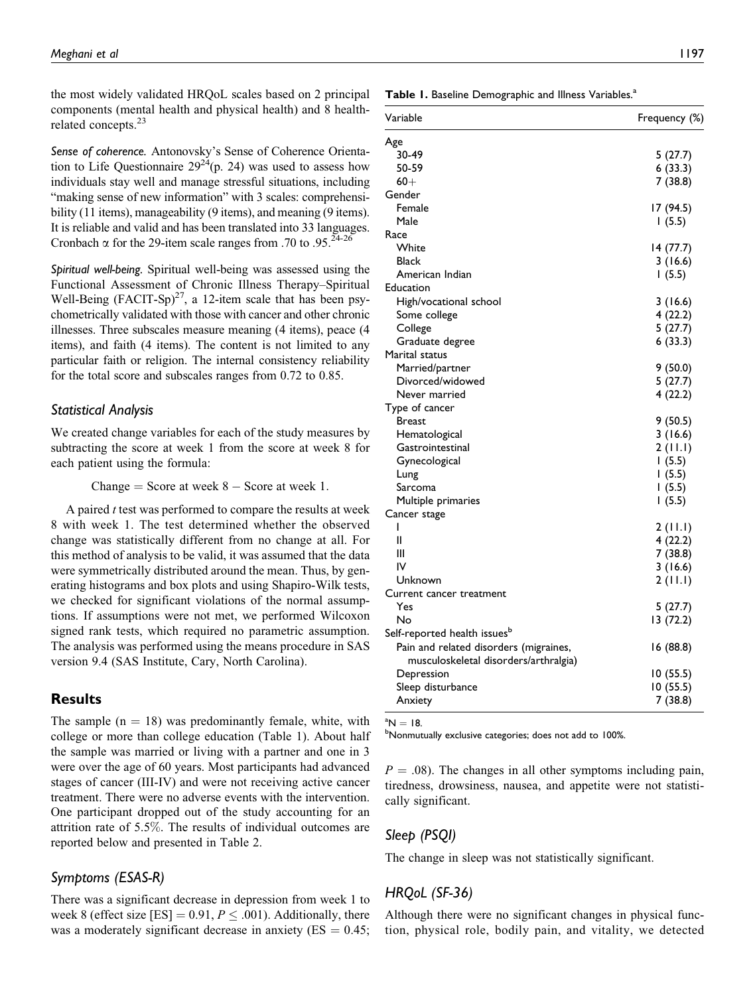the most widely validated HRQoL scales based on 2 principal components (mental health and physical health) and 8 healthrelated concepts.<sup>23</sup>

Sense of coherence. Antonovsky's Sense of Coherence Orientation to Life Questionnaire  $29^{24}$ (p. 24) was used to assess how individuals stay well and manage stressful situations, including "making sense of new information" with 3 scales: comprehensibility (11 items), manageability (9 items), and meaning (9 items). It is reliable and valid and has been translated into 33 languages. Cronbach  $\alpha$  for the 29-item scale ranges from .70 to .95.<sup>24-26</sup>

Spiritual well-being. Spiritual well-being was assessed using the Functional Assessment of Chronic Illness Therapy–Spiritual Well-Being (FACIT-Sp)<sup>27</sup>, a 12-item scale that has been psychometrically validated with those with cancer and other chronic illnesses. Three subscales measure meaning (4 items), peace (4 items), and faith (4 items). The content is not limited to any particular faith or religion. The internal consistency reliability for the total score and subscales ranges from 0.72 to 0.85.

#### Statistical Analysis

We created change variables for each of the study measures by subtracting the score at week 1 from the score at week 8 for each patient using the formula:

Change  $=$  Score at week  $8 -$  Score at week 1.

A paired  $t$  test was performed to compare the results at week 8 with week 1. The test determined whether the observed change was statistically different from no change at all. For this method of analysis to be valid, it was assumed that the data were symmetrically distributed around the mean. Thus, by generating histograms and box plots and using Shapiro-Wilk tests, we checked for significant violations of the normal assumptions. If assumptions were not met, we performed Wilcoxon signed rank tests, which required no parametric assumption. The analysis was performed using the means procedure in SAS version 9.4 (SAS Institute, Cary, North Carolina).

#### Results

The sample  $(n = 18)$  was predominantly female, white, with college or more than college education (Table 1). About half the sample was married or living with a partner and one in 3 were over the age of 60 years. Most participants had advanced stages of cancer (III-IV) and were not receiving active cancer treatment. There were no adverse events with the intervention. One participant dropped out of the study accounting for an attrition rate of 5.5%. The results of individual outcomes are reported below and presented in Table 2.

## Symptoms (ESAS-R)

There was a significant decrease in depression from week 1 to week 8 (effect size [ES] = 0.91,  $P \leq .001$ ). Additionally, there was a moderately significant decrease in anxiety  $(ES = 0.45;$  Table 1. Baseline Demographic and Illness Variables.<sup>a</sup>

| Variable                                 | Frequency (%) |
|------------------------------------------|---------------|
| Age                                      |               |
| 30-49                                    | 5 (27.7)      |
| 50-59                                    | 6(33.3)       |
| $60+$                                    | 7(38.8)       |
| Gender                                   |               |
| Female                                   | 17 (94.5)     |
| Male                                     | 1(5.5)        |
| Race                                     |               |
| White                                    | 14 (77.7)     |
| <b>Black</b>                             | 3(16.6)       |
| American Indian                          | 1(5.5)        |
| Education                                |               |
| High/vocational school                   | 3 (16.6)      |
| Some college                             | 4(22.2)       |
| College                                  | 5(27.7)       |
| Graduate degree                          | 6(33.3)       |
| Marital status                           |               |
| Married/partner                          | 9(50.0)       |
| Divorced/widowed                         | 5(27.7)       |
| Never married                            | 4 (22.2)      |
| Type of cancer                           |               |
| <b>Breast</b>                            | 9(50.5)       |
| Hematological                            | 3(16.6)       |
| Gastrointestinal                         | 2(11.1)       |
| Gynecological                            | 1(5.5)        |
| Lung                                     | 1(5.5)        |
| Sarcoma                                  | 1(5.5)        |
| Multiple primaries                       | 1(5.5)        |
| Cancer stage                             |               |
| I                                        | 2(11.1)       |
| Ш                                        | 4 (22.2)      |
| Ш                                        | 7(38.8)       |
| IV                                       | 3(16.6)       |
| Unknown                                  | 2(11.1)       |
| Current cancer treatment                 |               |
| Yes                                      | 5 (27.7)      |
| No                                       | 13 (72.2)     |
| Self-reported health issues <sup>b</sup> |               |
| Pain and related disorders (migraines,   | 16 (88.8)     |
| musculoskeletal disorders/arthralgia)    |               |
| Depression                               | 10(55.5)      |
| Sleep disturbance                        | 10 (55.5)     |
| Anxiety                                  | 7(38.8)       |

 ${}^{a}N = 18$ 

<sup>a</sup>N = 18.<br><sup>b</sup>Nonmutually exclusive categories; does not add to 100%.

 $P = .08$ ). The changes in all other symptoms including pain, tiredness, drowsiness, nausea, and appetite were not statistically significant.

## Sleep (PSQI)

The change in sleep was not statistically significant.

#### HRQoL (SF-36)

Although there were no significant changes in physical function, physical role, bodily pain, and vitality, we detected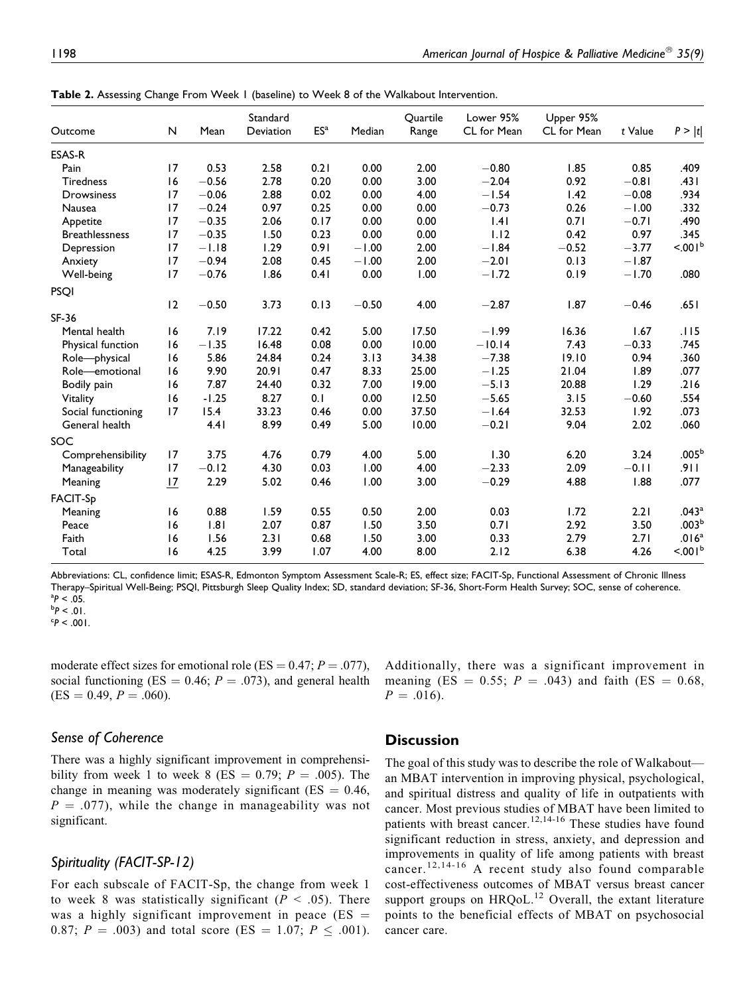|                       |    | Mean    | Standard<br>Deviation | ES <sup>a</sup> | Median  | Quartile<br>Range | Lower 95%<br>CL for Mean | Upper 95%<br>CL for Mean | t Value | P >  t              |
|-----------------------|----|---------|-----------------------|-----------------|---------|-------------------|--------------------------|--------------------------|---------|---------------------|
| Outcome               | N  |         |                       |                 |         |                   |                          |                          |         |                     |
| ESAS-R                |    |         |                       |                 |         |                   |                          |                          |         |                     |
| Pain                  | 17 | 0.53    | 2.58                  | 0.21            | 0.00    | 2.00              | $-0.80$                  | 1.85                     | 0.85    | .409                |
| <b>Tiredness</b>      | 16 | $-0.56$ | 2.78                  | 0.20            | 0.00    | 3.00              | $-2.04$                  | 0.92                     | $-0.81$ | .431                |
| <b>Drowsiness</b>     | 17 | $-0.06$ | 2.88                  | 0.02            | 0.00    | 4.00              | $-1.54$                  | 1.42                     | $-0.08$ | .934                |
| Nausea                | 17 | $-0.24$ | 0.97                  | 0.25            | 0.00    | 0.00              | $-0.73$                  | 0.26                     | $-1.00$ | .332                |
| Appetite              | 17 | $-0.35$ | 2.06                  | 0.17            | 0.00    | 0.00              | 1.41                     | 0.71                     | $-0.71$ | .490                |
| <b>Breathlessness</b> | 17 | $-0.35$ | 1.50                  | 0.23            | 0.00    | 0.00              | 1.12                     | 0.42                     | 0.97    | .345                |
| Depression            | 17 | $-1.18$ | 1.29                  | 0.91            | $-1.00$ | 2.00              | $-1.84$                  | $-0.52$                  | $-3.77$ | < 001 <sup>b</sup>  |
| Anxiety               | 17 | $-0.94$ | 2.08                  | 0.45            | $-1.00$ | 2.00              | $-2.01$                  | 0.13                     | $-1.87$ |                     |
| Well-being            | 17 | $-0.76$ | 1.86                  | 0.41            | 0.00    | 1.00              | $-1.72$                  | 0.19                     | $-1.70$ | .080                |
| <b>PSOI</b>           |    |         |                       |                 |         |                   |                          |                          |         |                     |
|                       | 12 | $-0.50$ | 3.73                  | 0.13            | $-0.50$ | 4.00              | $-2.87$                  | 1.87                     | $-0.46$ | .651                |
| SF-36                 |    |         |                       |                 |         |                   |                          |                          |         |                     |
| Mental health         | 16 | 7.19    | 17.22                 | 0.42            | 5.00    | 17.50             | $-1.99$                  | 16.36                    | 1.67    | .115                |
| Physical function     | 16 | $-1.35$ | 16.48                 | 0.08            | 0.00    | 10.00             | $-10.14$                 | 7.43                     | $-0.33$ | .745                |
| Role-physical         | 16 | 5.86    | 24.84                 | 0.24            | 3.13    | 34.38             | $-7.38$                  | 19.10                    | 0.94    | .360                |
| Role-emotional        | 16 | 9.90    | 20.91                 | 0.47            | 8.33    | 25.00             | $-1.25$                  | 21.04                    | 1.89    | .077                |
| Bodily pain           | 16 | 7.87    | 24.40                 | 0.32            | 7.00    | 19.00             | $-5.13$                  | 20.88                    | 1.29    | .216                |
| Vitality              | 6  | $-1.25$ | 8.27                  | 0.1             | 0.00    | 12.50             | $-5.65$                  | 3.15                     | $-0.60$ | .554                |
| Social functioning    | 17 | 15.4    | 33.23                 | 0.46            | 0.00    | 37.50             | $-1.64$                  | 32.53                    | 1.92    | .073                |
| General health        |    | 4.41    | 8.99                  | 0.49            | 5.00    | 10.00             | $-0.21$                  | 9.04                     | 2.02    | .060                |
| SOC                   |    |         |                       |                 |         |                   |                          |                          |         |                     |
| Comprehensibility     | 17 | 3.75    | 4.76                  | 0.79            | 4.00    | 5.00              | 1.30                     | 6.20                     | 3.24    | $.005^{\rm b}$      |
| Manageability         | 17 | $-0.12$ | 4.30                  | 0.03            | 1.00    | 4.00              | $-2.33$                  | 2.09                     | $-0.11$ | ا ۱ و.              |
| Meaning               | 17 | 2.29    | 5.02                  | 0.46            | 1.00    | 3.00              | $-0.29$                  | 4.88                     | 1.88    | .077                |
| <b>FACIT-Sp</b>       |    |         |                       |                 |         |                   |                          |                          |         |                     |
| Meaning               | 16 | 0.88    | 1.59                  | 0.55            | 0.50    | 2.00              | 0.03                     | 1.72                     | 2.21    | .043 <sup>a</sup>   |
| Peace                 | 16 | 1.81    | 2.07                  | 0.87            | 1.50    | 3.50              | 0.71                     | 2.92                     | 3.50    | $.003^b$            |
| Faith                 | 16 | 1.56    | 2.31                  | 0.68            | 1.50    | 3.00              | 0.33                     | 2.79                     | 2.71    | .016 <sup>a</sup>   |
| Total                 | 16 | 4.25    | 3.99                  | 1.07            | 4.00    | 8.00              | 2.12                     | 6.38                     | 4.26    | < 0.01 <sup>b</sup> |
|                       |    |         |                       |                 |         |                   |                          |                          |         |                     |

Table 2. Assessing Change From Week 1 (baseline) to Week 8 of the Walkabout Intervention.

Abbreviations: CL, confidence limit; ESAS-R, Edmonton Symptom Assessment Scale-R; ES, effect size; FACIT-Sp, Functional Assessment of Chronic Illness Therapy–Spiritual Well-Being; PSQI, Pittsburgh Sleep Quality Index; SD, standard deviation; SF-36, Short-Form Health Survey; SOC, sense of coherence.<br><sup>a</sup>P < .05. <sup>a</sup>P < .05.<br><sup>b</sup>P < .01

 $P < .001$ .

moderate effect sizes for emotional role (ES =  $0.47$ ;  $P = .077$ ), social functioning (ES = 0.46;  $P = .073$ ), and general health  $(ES = 0.49, P = .060).$ 

#### Additionally, there was a significant improvement in meaning (ES = 0.55;  $P = .043$ ) and faith (ES = 0.68,  $P = .016$ ).

## Sense of Coherence

There was a highly significant improvement in comprehensibility from week 1 to week 8 (ES = 0.79;  $P = .005$ ). The change in meaning was moderately significant ( $ES = 0.46$ ,  $P = .077$ , while the change in manageability was not significant.

## Spirituality (FACIT-SP-12)

For each subscale of FACIT-Sp, the change from week 1 to week 8 was statistically significant ( $P < .05$ ). There was a highly significant improvement in peace  $(ES =$ 0.87;  $P = .003$ ) and total score (ES = 1.07;  $P \le .001$ ).

## **Discussion**

The goal of this study was to describe the role of Walkabout an MBAT intervention in improving physical, psychological, and spiritual distress and quality of life in outpatients with cancer. Most previous studies of MBAT have been limited to patients with breast cancer.<sup>12,14-16</sup> These studies have found significant reduction in stress, anxiety, and depression and improvements in quality of life among patients with breast cancer.12,14-16 A recent study also found comparable cost-effectiveness outcomes of MBAT versus breast cancer support groups on  $HRQoL<sup>12</sup>$  Overall, the extant literature points to the beneficial effects of MBAT on psychosocial cancer care.

<sup>.01. &</sup>gt; P°<br>c - on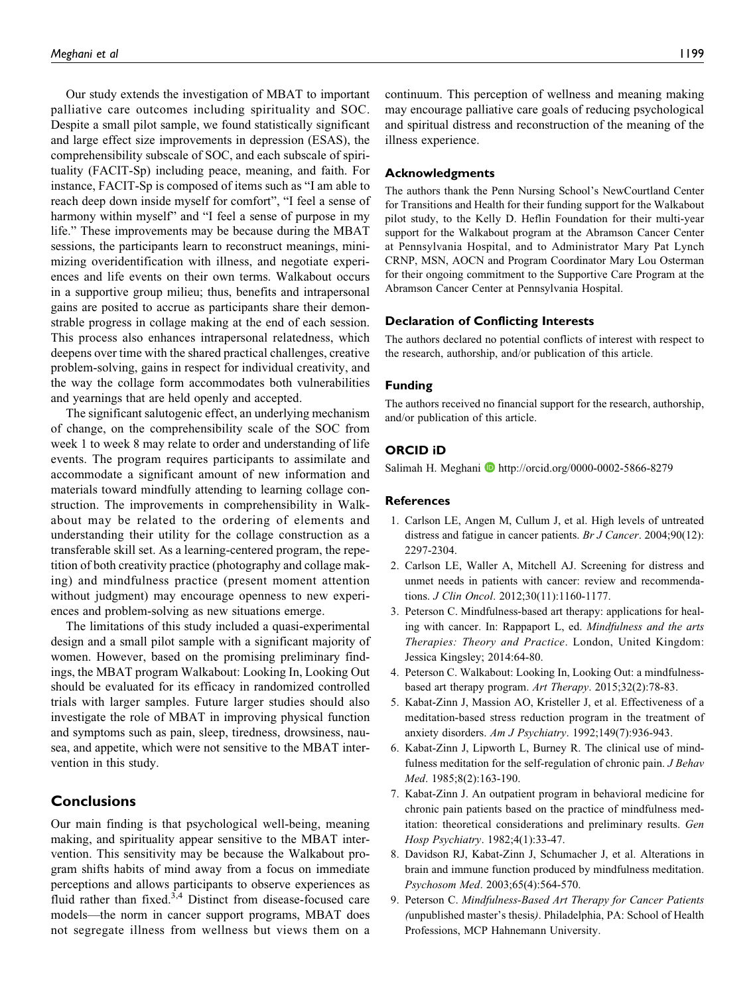Our study extends the investigation of MBAT to important palliative care outcomes including spirituality and SOC. Despite a small pilot sample, we found statistically significant and large effect size improvements in depression (ESAS), the comprehensibility subscale of SOC, and each subscale of spirituality (FACIT-Sp) including peace, meaning, and faith. For instance, FACIT-Sp is composed of items such as "I am able to reach deep down inside myself for comfort", "I feel a sense of harmony within myself" and "I feel a sense of purpose in my life." These improvements may be because during the MBAT sessions, the participants learn to reconstruct meanings, minimizing overidentification with illness, and negotiate experiences and life events on their own terms. Walkabout occurs in a supportive group milieu; thus, benefits and intrapersonal gains are posited to accrue as participants share their demonstrable progress in collage making at the end of each session. This process also enhances intrapersonal relatedness, which deepens over time with the shared practical challenges, creative problem-solving, gains in respect for individual creativity, and the way the collage form accommodates both vulnerabilities and yearnings that are held openly and accepted.

The significant salutogenic effect, an underlying mechanism of change, on the comprehensibility scale of the SOC from week 1 to week 8 may relate to order and understanding of life events. The program requires participants to assimilate and accommodate a significant amount of new information and materials toward mindfully attending to learning collage construction. The improvements in comprehensibility in Walkabout may be related to the ordering of elements and understanding their utility for the collage construction as a transferable skill set. As a learning-centered program, the repetition of both creativity practice (photography and collage making) and mindfulness practice (present moment attention without judgment) may encourage openness to new experiences and problem-solving as new situations emerge.

The limitations of this study included a quasi-experimental design and a small pilot sample with a significant majority of women. However, based on the promising preliminary findings, the MBAT program Walkabout: Looking In, Looking Out should be evaluated for its efficacy in randomized controlled trials with larger samples. Future larger studies should also investigate the role of MBAT in improving physical function and symptoms such as pain, sleep, tiredness, drowsiness, nausea, and appetite, which were not sensitive to the MBAT intervention in this study.

## **Conclusions**

Our main finding is that psychological well-being, meaning making, and spirituality appear sensitive to the MBAT intervention. This sensitivity may be because the Walkabout program shifts habits of mind away from a focus on immediate perceptions and allows participants to observe experiences as fluid rather than fixed. $3,4$  Distinct from disease-focused care models—the norm in cancer support programs, MBAT does not segregate illness from wellness but views them on a

continuum. This perception of wellness and meaning making may encourage palliative care goals of reducing psychological and spiritual distress and reconstruction of the meaning of the illness experience.

#### Acknowledgments

The authors thank the Penn Nursing School's NewCourtland Center for Transitions and Health for their funding support for the Walkabout pilot study, to the Kelly D. Heflin Foundation for their multi-year support for the Walkabout program at the Abramson Cancer Center at Pennsylvania Hospital, and to Administrator Mary Pat Lynch CRNP, MSN, AOCN and Program Coordinator Mary Lou Osterman for their ongoing commitment to the Supportive Care Program at the Abramson Cancer Center at Pennsylvania Hospital.

#### Declaration of Conflicting Interests

The authors declared no potential conflicts of interest with respect to the research, authorship, and/or publication of this article.

#### Funding

The authors received no financial support for the research, authorship, and/or publication of this article.

#### ORCID iD

Salimah H. Meghani **I** <http://orcid.org/0000-0002-5866-8279>

#### References

- 1. Carlson LE, Angen M, Cullum J, et al. High levels of untreated distress and fatigue in cancer patients. Br J Cancer. 2004;90(12): 2297-2304.
- 2. Carlson LE, Waller A, Mitchell AJ. Screening for distress and unmet needs in patients with cancer: review and recommendations. J Clin Oncol. 2012;30(11):1160-1177.
- 3. Peterson C. Mindfulness-based art therapy: applications for healing with cancer. In: Rappaport L, ed. Mindfulness and the arts Therapies: Theory and Practice. London, United Kingdom: Jessica Kingsley; 2014:64-80.
- 4. Peterson C. Walkabout: Looking In, Looking Out: a mindfulnessbased art therapy program. Art Therapy. 2015;32(2):78-83.
- 5. Kabat-Zinn J, Massion AO, Kristeller J, et al. Effectiveness of a meditation-based stress reduction program in the treatment of anxiety disorders. Am J Psychiatry. 1992;149(7):936-943.
- 6. Kabat-Zinn J, Lipworth L, Burney R. The clinical use of mindfulness meditation for the self-regulation of chronic pain. J Behav Med. 1985;8(2):163-190.
- 7. Kabat-Zinn J. An outpatient program in behavioral medicine for chronic pain patients based on the practice of mindfulness meditation: theoretical considerations and preliminary results. Gen Hosp Psychiatry. 1982;4(1):33-47.
- 8. Davidson RJ, Kabat-Zinn J, Schumacher J, et al. Alterations in brain and immune function produced by mindfulness meditation. Psychosom Med. 2003;65(4):564-570.
- 9. Peterson C. Mindfulness-Based Art Therapy for Cancer Patients (unpublished master's thesis). Philadelphia, PA: School of Health Professions, MCP Hahnemann University.